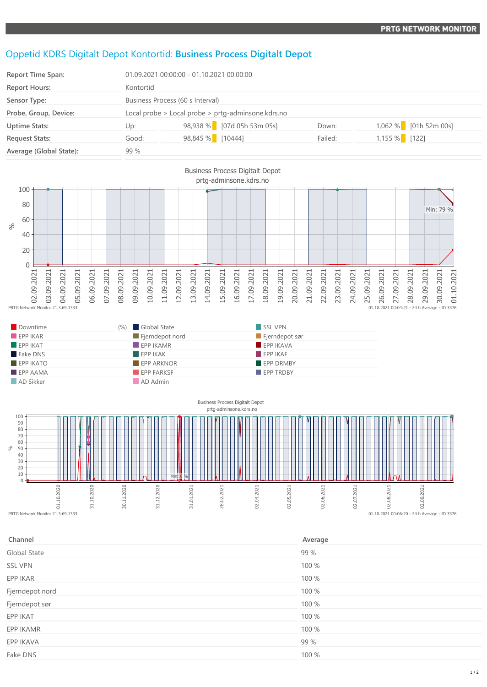## Oppetid KDRS Digitalt Depot Kontortid: **Business Process Digitalt Depot**

| <b>Report Time Span:</b> |           | 01.09.2021 00:00:00 - 01.10.2021 00:00:00          |         |                       |  |
|--------------------------|-----------|----------------------------------------------------|---------|-----------------------|--|
| <b>Report Hours:</b>     | Kontortid |                                                    |         |                       |  |
| Sensor Type:             |           | Business Process (60 s Interval)                   |         |                       |  |
| Probe, Group, Device:    |           | Local probe > Local probe > prtg-adminsone.kdrs.no |         |                       |  |
| <b>Uptime Stats:</b>     | Up:       | 98,938 % [07d 05h 53m 05s]                         | Down:   | 1,062 % [01h 52m 00s] |  |
| <b>Request Stats:</b>    | Good:     | 98,845 % [10444]                                   | Failed: | 1,155 % [122]         |  |
| Average (Global State):  | 99 %      |                                                    |         |                       |  |



| – Downume               | (%) Global State               | II DOL VPIN      |
|-------------------------|--------------------------------|------------------|
| EPPIKAR                 | $\blacksquare$ Fjerndepot nord | Fjerndepot sør   |
| $\blacksquare$ EPP IKAT | $\blacksquare$ EPP IKAMR       | EPPIKAVA         |
| Fake DNS                | $\blacksquare$ EPP IKAK        | FPPIKAF          |
| $EPP$ IKATO             | $\blacksquare$ EPP ARKNOR      | <b>EPP DRMBY</b> |
| $\blacksquare$ EPP AAMA | <b>EPP FARKSF</b>              | <b>EPP TRDBY</b> |
| AD Sikker               | AD Admin                       |                  |



| Channel         | Average |
|-----------------|---------|
| Global State    | 99 %    |
| <b>SSL VPN</b>  | 100 %   |
| EPP IKAR        | 100 %   |
| Fjerndepot nord | 100 %   |
| Fjerndepot sør  | 100 %   |
| EPP IKAT        | 100 %   |
| EPP IKAMR       | 100 %   |
| EPP IKAVA       | 99 %    |
| Fake DNS        | 100 %   |